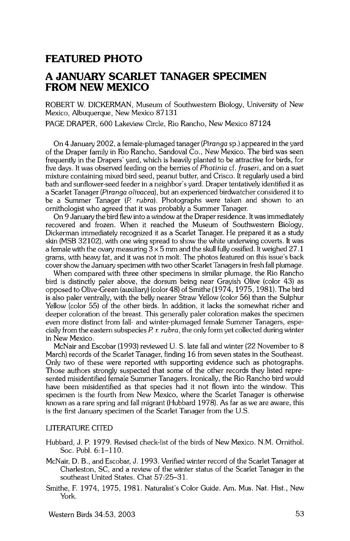### **FEATURED PHOTO**

## **A JANUARY SCARLET TANAGER SPECIMEN FROM NEW MEXICO**

**ROBERT W. DICKERMAN, Museum of Southwestern Biology, University of New Mexico, Albuquerque, New Mexico 87131** 

**PAGE DRAPER, 600 Lakeview Circle, Rio Rancho, New Mexico 87124** 

**On 4 January 2002, a female-plumaged tanager (Piranga sp.) appeared in the yard of the Draper family in Rio Rancho, Sandoval Co., New Mexico. The bird was seen frequently in the Drapers' yard, which is heavily planted to be attractive for birds, for five days. It was observed feeding on the berries of Photinia cf. fraseri, and on a suet mixture containing mixed bird seed, peanut butter, and Crisco. It regularly used a bird bath and sunflower-seed feeder in a neighbor's yard. Draper tentatively identified it as a Scarlet Tanager (Piranga olivacea), but an experienced birdwatcher considered it to be a Summer Tanager (P rubra). Photographs were taken and shown to an ornithologist who agreed that it was probably a Summer Tanager.** 

**On 9 January the bird flew into a window at the Draper residence. Itwas immediately recovered and frozen. When it reached the Museum of Southwestern Biology, Dickerman immediately recognized it as a Scarlet Tanager. He prepared it as a study skin (MSB 32102), with one wing spread to show the white underwing coverts. It was a female with the ovary measuring 3x 5 mm and the skull fully ossified. Itweighed 27.1 grams, with heavy fat, and it was not in molt. The photos featured on this issue's back cover show the January specimen with two other Scarlet Tanagers in fresh fall plumage.** 

**When compared with three other spedmens in similar plumage, the Rio Rancho bird is distinctly paler above, the dorsum being near Grayish Olive (color 43) as opposed to Olive-Green (auxiliary) (color 48) of Smithe (1974, 1975, 1981). The bird is also paler ventrally, with the belly nearer Straw Yellow (color 56) than the Sulphur Yellow (color 55) of the other birds. In addition, it lacks the somewhat richer and deeper coloration of the breast. This generally paler coloration makes the specimen even more distinct from fall- and winter-plumaged female Summer Tanagers, espe**cially from the eastern subspecies P. r. rubra, the only form yet collected during winter **in New Mexico.** 

**McNair and Escobar (1993) reviewed U.S. late fall and winter (22 November to 8 March) records of the Scarlet Tanager, finding 16 from seven states in the Southeast. Only two of these were reported with supporting evidence such as photographs. Those authors strongly suspected that some of the other records they listed represented misidentified female Summer Tanagers. Ironically, the Rio Rancho bird would have been misidentified as that species had it not flown into the window. This specimen is the fourth from New Mexico, where the Scarlet Tanager is otherwise known as a rare spring and fall migrant (Hubbard 1978). As far as we are aware, this is the first January specimen of the Scarlet Tanager from the U.S.** 

#### **LITERATURE CITED**

**Hubbard, J.P. 1979. Revised check-list of the birds of New Mexico. N.M. Ornithol. Soc. Publ. 6:1-110.** 

- **McNair, D. B., and Escobar, J. 1993. Verified winter record of the Scarlet Tanager at Charleston, SC, and a review of the winter status of the Scarlet Tanager in the southeast United States. Chat 57:25-31.**
- **Smithe, F. 1974, 1975, 1981. Naturalist's Color Guide. Am. Mus. Nat. Hist., New York.**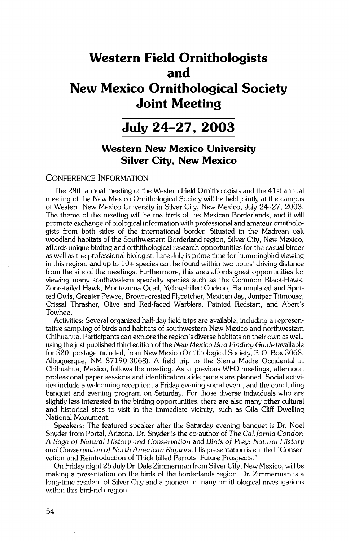# **Western Field Ornithologists and New Mexico Ornithological Society Joint Meeting**

## **July 24-27, 2003**

## **Western New Mexico University Silver City, New Mexico**

### **CONFERENCE INFORMATION**

**The 28th annual meeting of the Western Field Ornithologists and the 41st annual meeting of the New Mexico Ornithological Society will be held jointly at the campus of Western New Mexico University in Silver City, New Mexico, July 24-27, 2003. The theme of the meeting will be the birds of the Mexican Borderlands, and it will promote exchange of biological information with professional and amateur ornithologists from both sides of the international border. Situated in the Madrean oak woodland habitats of the Southwestern Borderland region, Silver City, New Mexico, affords unique birding and orthithological research opportunities for the casual birder as well as the professional biologist. Late July is prime time for hummingbird viewing in this region, and up to 10+ species can be found within two hours' driving distance from the site of the meetings. Furthermore, this area affords great opportunities for viewing many southwestern specialty species such as the Common Black-Hawk, Zone-tailed Hawk, Montezuma Quail, Yellow-billed Cuckoo, Flammulated and Spotted Owls, Greater Pewee, Brown-crested Flycatcher, Mexican Jay, Juniper Titmouse, Crissal Thrasher, Olive and Red-faced Warblers, Painted Redstart, and Abert's Towhee.** 

**Activities: Several organized half-day field trips are available, including arepresentative sampling of birds and habitats of southwestern New Mexico and northwestern Chihuahua. Participants can explore the region's diverse habitats on their own as well, using the just published third edition of the New Mexico Bird Finding Guide (available for \$20, postage included, from New Mexico Ornithological Society, P.O. Box 3068, Albuquerque, NM 87190-3068). A field trip to the Sierra Madre Occidental in Chihuahua, Mexico, follows the meeting. As at previous WFO meetings, afternoon professional paper sessions and identification slide panels are planned. Social activities include a welcoming reception, a Friday evening social event, and the concluding banquet and evening program on Saturday. For those diverse individuals who are slightly less interested in the birding opportunities, there are also many other cultural and historical sites to visit in the immediate vicinity, such as Gila Cliff Dwelling National Monument.** 

**Speakers: The featured speaker after the Saturday evening banquet is Dr. Noel Snyder from Portal, Arizona. Dr. Snyder is the co-author of The California Condor: A Saga of Natural History and Conservation and Birds of Prey: Natural History and Conservation of North American Raptors. His presentation is entitled "Conservation and Reintroduction of Thick-billed Parrots: Future Prospects."** 

**On Friday night 25 July Dr. Dale Zimmerman from Silver City, New Mexico, will be making a presentation on the birds of the borderlands region. Dr. Zimmerman is a long-time resident of Silver City and a pioneer in many ornithological investigations within this bird-rich region.**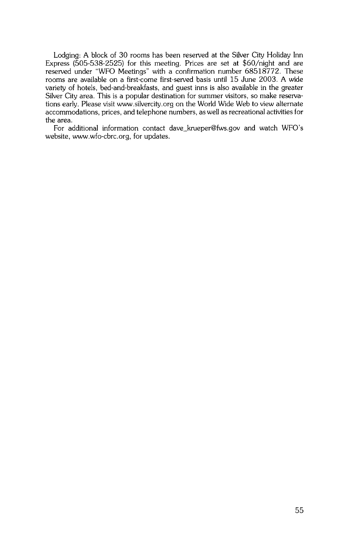**Lodging: A block of 30 rooms has been reserved at the Silver City Holiday Inn Express (505-538-2525) for this meeting. Prices are set at \$60/night and are reserved under "WFO Meetings" with a confirmation number 68518772. These rooms are available on a first-come first-served basis until 15 June 2003. A wide variety of hotels, bed-and-breakfasts, and guest inns is also available in the greater Silver City area. This is a popular destination for summer visitors, so make reservations early. Please visit www.silvercity.org on the World Wide Web to view alternate accommodations, prices, and telephone numbers, as well as recreational activities for the area.** 

**For additional information contact dave\_krueper@fws.gov and watch WFO's website, www.wfo-cbrc.org, for updates.**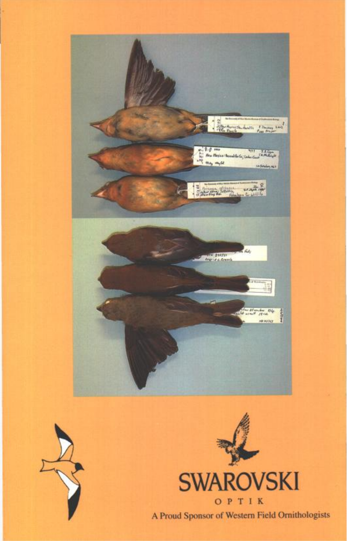





**A Proud Sponsor of Western Field Ornithologists A Proud Sponsor of Western Field Ornithologists**